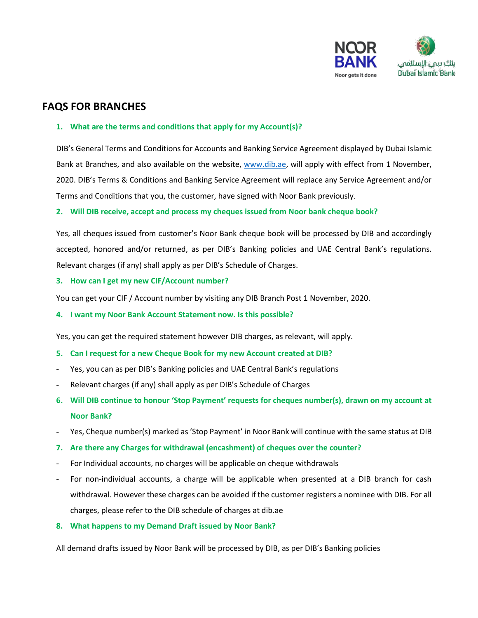

# **FAQS FOR BRANCHES**

#### **1. What are the terms and conditions that apply for my Account(s)?**

DIB's General Terms and Conditions for Accounts and Banking Service Agreement displayed by Dubai Islamic Bank at Branches, and also available on the website, [www.dib.ae,](http://www.dib.ae/) will apply with effect from 1 November, 2020. DIB's Terms & Conditions and Banking Service Agreement will replace any Service Agreement and/or Terms and Conditions that you, the customer, have signed with Noor Bank previously.

#### **2. Will DIB receive, accept and process my cheques issued from Noor bank cheque book?**

Yes, all cheques issued from customer's Noor Bank cheque book will be processed by DIB and accordingly accepted, honored and/or returned, as per DIB's Banking policies and UAE Central Bank's regulations. Relevant charges (if any) shall apply as per DIB's Schedule of Charges.

#### **3. How can I get my new CIF/Account number?**

You can get your CIF / Account number by visiting any DIB Branch Post 1 November, 2020.

**4. I want my Noor Bank Account Statement now. Is this possible?** 

Yes, you can get the required statement however DIB charges, as relevant, will apply.

- **5. Can I request for a new Cheque Book for my new Account created at DIB?**
- Yes, you can as per DIB's Banking policies and UAE Central Bank's regulations
- Relevant charges (if any) shall apply as per DIB's Schedule of Charges
- **6. Will DIB continue to honour 'Stop Payment' requests for cheques number(s), drawn on my account at Noor Bank?**
- Yes, Cheque number(s) marked as 'Stop Payment' in Noor Bank will continue with the same status at DIB
- **7. Are there any Charges for withdrawal (encashment) of cheques over the counter?**
- For Individual accounts, no charges will be applicable on cheque withdrawals
- For non-individual accounts, a charge will be applicable when presented at a DIB branch for cash withdrawal. However these charges can be avoided if the customer registers a nominee with DIB. For all charges, please refer to the DIB schedule of charges at dib.ae
- **8. What happens to my Demand Draft issued by Noor Bank?**

All demand drafts issued by Noor Bank will be processed by DIB, as per DIB's Banking policies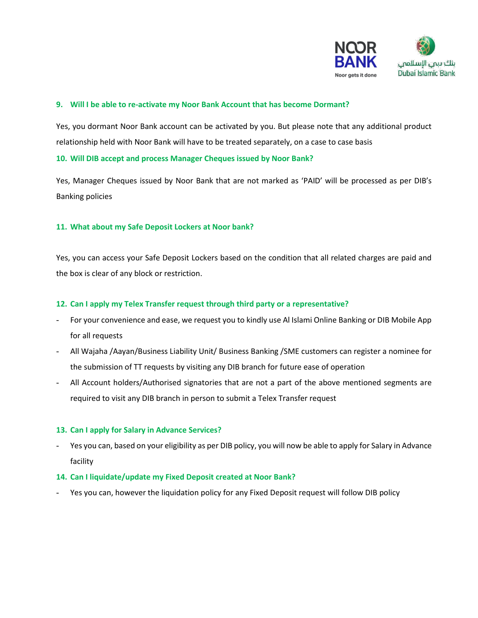

#### **9. Will I be able to re-activate my Noor Bank Account that has become Dormant?**

Yes, you dormant Noor Bank account can be activated by you. But please note that any additional product relationship held with Noor Bank will have to be treated separately, on a case to case basis

**10. Will DIB accept and process Manager Cheques issued by Noor Bank?**

Yes, Manager Cheques issued by Noor Bank that are not marked as 'PAID' will be processed as per DIB's Banking policies

#### **11. What about my Safe Deposit Lockers at Noor bank?**

Yes, you can access your Safe Deposit Lockers based on the condition that all related charges are paid and the box is clear of any block or restriction.

#### **12. Can I apply my Telex Transfer request through third party or a representative?**

- For your convenience and ease, we request you to kindly use Al Islami Online Banking or DIB Mobile App for all requests
- All Wajaha /Aayan/Business Liability Unit/ Business Banking /SME customers can register a nominee for the submission of TT requests by visiting any DIB branch for future ease of operation
- All Account holders/Authorised signatories that are not a part of the above mentioned segments are required to visit any DIB branch in person to submit a Telex Transfer request

#### **13. Can I apply for Salary in Advance Services?**

Yes you can, based on your eligibility as per DIB policy, you will now be able to apply for Salary in Advance facility

#### **14. Can I liquidate/update my Fixed Deposit created at Noor Bank?**

Yes you can, however the liquidation policy for any Fixed Deposit request will follow DIB policy